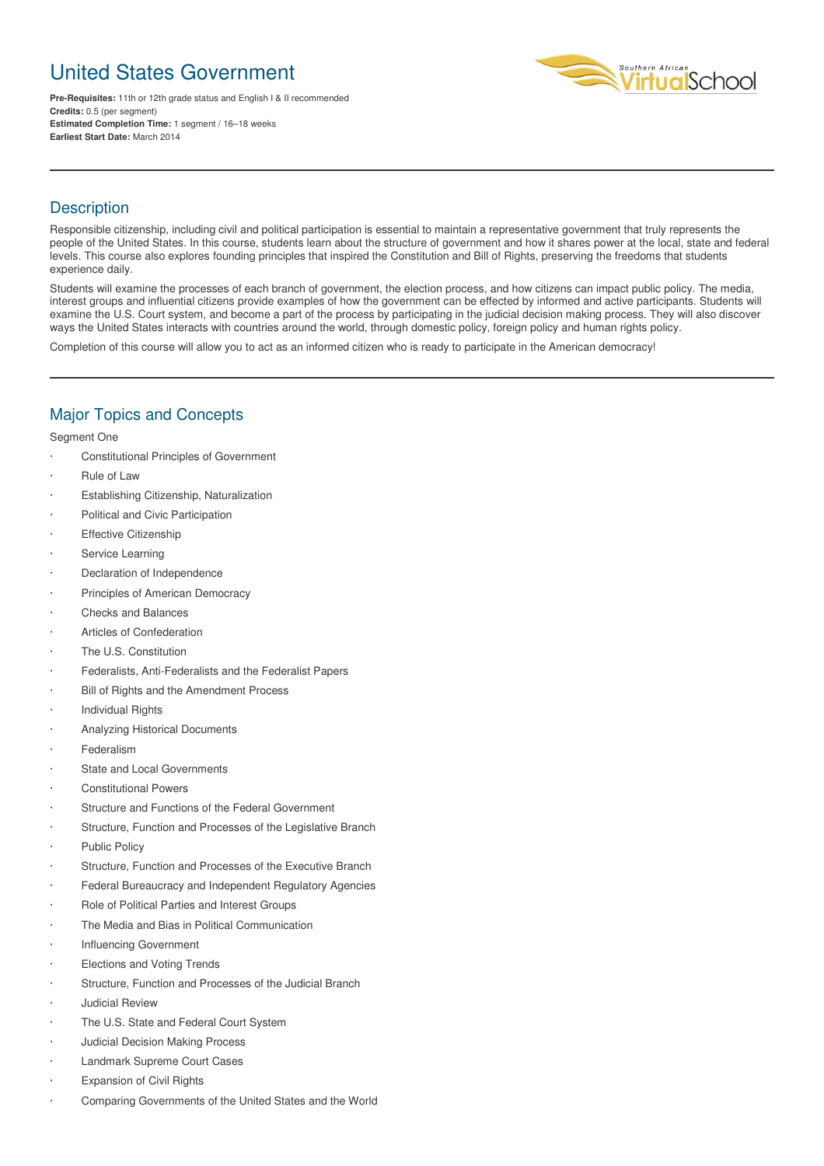# United States Government

**Pre-Requisites:** 11th or 12th grade status and English I & II recommended **Credits:** 0.5 (per segment) **Estimated Completion Time:** 1 segment / 16–18 weeks **Earliest Start Date:** March 2014



# **Description**

Responsible citizenship, including civil and political participation is essential to maintain a representative government that truly represents the people of the United States. In this course, students learn about the structure of government and how it shares power at the local, state and federal levels. This course also explores founding principles that inspired the Constitution and Bill of Rights, preserving the freedoms that students experience daily.

Students will examine the processes of each branch of government, the election process, and how citizens can impact public policy. The media, interest groups and influential citizens provide examples of how the government can be effected by informed and active participants. Students will examine the U.S. Court system, and become a part of the process by participating in the judicial decision making process. They will also discover ways the United States interacts with countries around the world, through domestic policy, foreign policy and human rights policy.

Completion of this course will allow you to act as an informed citizen who is ready to participate in the American democracy!

#### Major Topics and Concepts

Segment One

- · Constitutional Principles of Government
- · Rule of Law
- Establishing Citizenship, Naturalization
- Political and Civic Participation
- **Effective Citizenship**
- Service Learning
- Declaration of Independence
- Principles of American Democracy
- · Checks and Balances
- Articles of Confederation
- The U.S. Constitution
- Federalists, Anti-Federalists and the Federalist Papers
- Bill of Rights and the Amendment Process
- · Individual Rights
- · Analyzing Historical Documents
- **Federalism**
- State and Local Governments
- **Constitutional Powers**
- Structure and Functions of the Federal Government
- Structure, Function and Processes of the Legislative Branch
- Public Policy
- Structure, Function and Processes of the Executive Branch
- Federal Bureaucracy and Independent Regulatory Agencies
- Role of Political Parties and Interest Groups
- The Media and Bias in Political Communication
- Influencing Government
- Elections and Voting Trends
- Structure, Function and Processes of the Judicial Branch
- · Judicial Review
- The U.S. State and Federal Court System
- · Judicial Decision Making Process
- Landmark Supreme Court Cases
- **Expansion of Civil Rights**
- · Comparing Governments of the United States and the World